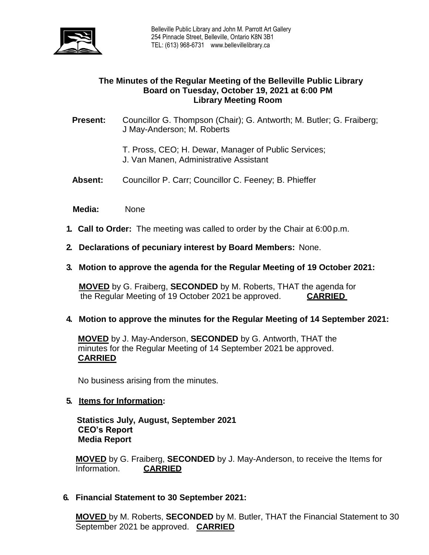

# **The Minutes of the Regular Meeting of the Belleville Public Library Board on Tuesday, October 19, 2021 at 6:00 PM Library Meeting Room**

**Present:** Councillor G. Thompson (Chair); G. Antworth; M. Butler; G. Fraiberg; J May-Anderson; M. Roberts

- T. Pross, CEO; H. Dewar, Manager of Public Services; J. Van Manen, Administrative Assistant
- **Absent:** Councillor P. Carr; Councillor C. Feeney; B. Phieffer

 **Media:** None

- **1. Call to Order:** The meeting was called to order by the Chair at 6:00 p.m.
- **2. Declarations of pecuniary interest by Board Members:** None.
- **3. Motion to approve the agenda for the Regular Meeting of 19 October 2021:**

**MOVED** by G. Fraiberg, **SECONDED** by M. Roberts, THAT the agenda for the Regular Meeting of 19 October 2021 be approved. **CARRIED**

**4. Motion to approve the minutes for the Regular Meeting of 14 September 2021:**

**MOVED** by J. May-Anderson, **SECONDED** by G. Antworth, THAT the minutes for the Regular Meeting of 14 September 2021 be approved. **CARRIED**

No business arising from the minutes.

#### **5. Items for Information:**

 **Statistics July, August, September 2021 CEO's Report Media Report**

**MOVED** by G. Fraiberg, **SECONDED** by J. May-Anderson, to receive the Items for Information. **CARRIED** 

#### **6. Financial Statement to 30 September 2021:**

**MOVED** by M. Roberts, **SECONDED** by M. Butler, THAT the Financial Statement to 30 September 2021 be approved. **CARRIED**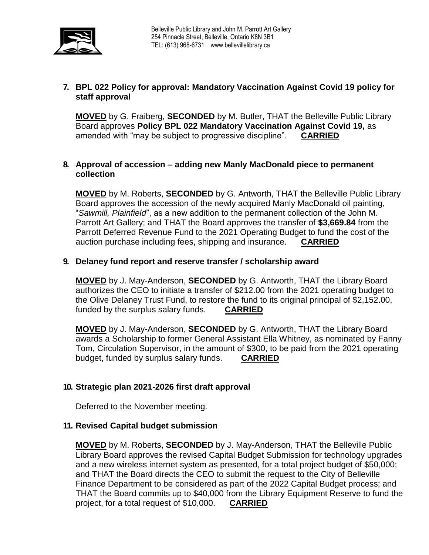

# **7. BPL 022 Policy for approval: Mandatory Vaccination Against Covid 19 policy for staff approval**

**MOVED** by G. Fraiberg, **SECONDED** by M. Butler, THAT the Belleville Public Library Board approves **Policy BPL 022 Mandatory Vaccination Against Covid 19,** as amended with "may be subject to progressive discipline". **CARRIED**

### **8. Approval of accession – adding new Manly MacDonald piece to permanent collection**

**MOVED** by M. Roberts, **SECONDED** by G. Antworth, THAT the Belleville Public Library Board approves the accession of the newly acquired Manly MacDonald oil painting, "*Sawmill, Plainfield*", as a new addition to the permanent collection of the John M. Parrott Art Gallery; and THAT the Board approves the transfer of **\$3,669.84** from the Parrott Deferred Revenue Fund to the 2021 Operating Budget to fund the cost of the auction purchase including fees, shipping and insurance. **CARRIED**

### **9. Delaney fund report and reserve transfer / scholarship award**

**MOVED** by J. May-Anderson, **SECONDED** by G. Antworth, THAT the Library Board authorizes the CEO to initiate a transfer of \$212.00 from the 2021 operating budget to the Olive Delaney Trust Fund, to restore the fund to its original principal of \$2,152.00, funded by the surplus salary funds. **CARRIED**

**MOVED** by J. May-Anderson, **SECONDED** by G. Antworth, THAT the Library Board awards a Scholarship to former General Assistant Ella Whitney, as nominated by Fanny Tom, Circulation Supervisor, in the amount of \$300, to be paid from the 2021 operating budget, funded by surplus salary funds. **CARRIED**

### **10. Strategic plan 2021-2026 first draft approval**

Deferred to the November meeting.

### **11. Revised Capital budget submission**

**MOVED** by M. Roberts, **SECONDED** by J. May-Anderson, THAT the Belleville Public Library Board approves the revised Capital Budget Submission for technology upgrades and a new wireless internet system as presented, for a total project budget of \$50,000; and THAT the Board directs the CEO to submit the request to the City of Belleville Finance Department to be considered as part of the 2022 Capital Budget process; and THAT the Board commits up to \$40,000 from the Library Equipment Reserve to fund the project, for a total request of \$10,000. **CARRIED**